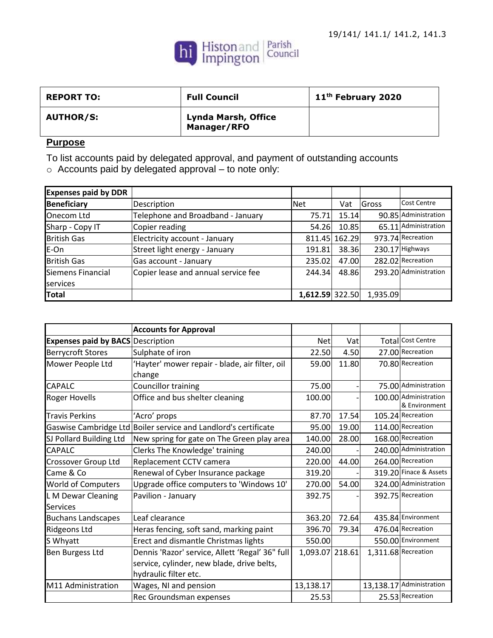

| <b>REPORT TO:</b> | <b>Full Council</b>                       | 11 <sup>th</sup> February 2020 |
|-------------------|-------------------------------------------|--------------------------------|
| <b>AUTHOR/S:</b>  | <b>Lynda Marsh, Office</b><br>Manager/RFO |                                |

## **Purpose**

To list accounts paid by delegated approval, and payment of outstanding accounts

 $\circ$  Accounts paid by delegated approval – to note only:

| <b>Expenses paid by DDR</b> |                                     |                 |               |          |                       |
|-----------------------------|-------------------------------------|-----------------|---------------|----------|-----------------------|
| <b>Beneficiary</b>          | Description                         | <b>Net</b>      | Vat           | Gross    | <b>Cost Centre</b>    |
| Onecom Ltd                  | Telephone and Broadband - January   | 75.71           | 15.14         |          | 90.85 Administration  |
| Sharp - Copy IT             | Copier reading                      | 54.26           | 10.85         |          | 65.11 Administration  |
| <b>British Gas</b>          | Electricity account - January       |                 | 811.45 162.29 |          | 973.74 Recreation     |
| E-On                        | Street light energy - January       | 191.81          | 38.36         |          | 230.17 Highways       |
| <b>British Gas</b>          | Gas account - January               | 235.02          | 47.00         |          | 282.02 Recreation     |
| Siemens Financial           | Copier lease and annual service fee | 244.34          | 48.86         |          | 293.20 Administration |
| services                    |                                     |                 |               |          |                       |
| Total                       |                                     | 1,612.59 322.50 |               | 1,935.09 |                       |

|                                          | <b>Accounts for Approval</b>                                    |                 |       |                          |
|------------------------------------------|-----------------------------------------------------------------|-----------------|-------|--------------------------|
| <b>Expenses paid by BACS Description</b> |                                                                 | <b>Net</b>      | Vat   | <b>Total Cost Centre</b> |
| <b>Berrycroft Stores</b>                 | Sulphate of iron                                                | 22.50           | 4.50  | 27.00 Recreation         |
| Mower People Ltd                         | 'Hayter' mower repair - blade, air filter, oil                  | 59.00           | 11.80 | 70.80 Recreation         |
|                                          | change                                                          |                 |       |                          |
| <b>CAPALC</b>                            | Councillor training                                             | 75.00           |       | 75.00 Administration     |
| <b>Roger Hovells</b>                     | Office and bus shelter cleaning                                 | 100.00          |       | 100.00 Administration    |
|                                          |                                                                 |                 |       | & Environment            |
| <b>Travis Perkins</b>                    | 'Acro' props                                                    | 87.70           | 17.54 | 105.24 Recreation        |
|                                          | Gaswise Cambridge Ltd Boiler service and Landlord's certificate | 95.00           | 19.00 | 114.00 Recreation        |
| SJ Pollard Building Ltd                  | New spring for gate on The Green play area                      | 140.00          | 28.00 | 168.00 Recreation        |
| <b>CAPALC</b>                            | Clerks The Knowledge' training                                  | 240.00          |       | 240.00 Administration    |
| Crossover Group Ltd                      | Replacement CCTV camera                                         | 220.00          | 44.00 | 264.00 Recreation        |
| Came & Co                                | Renewal of Cyber Insurance package                              | 319.20          |       | 319.20 Finace & Assets   |
| <b>World of Computers</b>                | Upgrade office computers to 'Windows 10'                        | 270.00          | 54.00 | 324.00 Administration    |
| L M Dewar Cleaning                       | Pavilion - January                                              | 392.75          |       | 392.75 Recreation        |
| <b>Services</b>                          |                                                                 |                 |       |                          |
| <b>Buchans Landscapes</b>                | Leaf clearance                                                  | 363.20          | 72.64 | 435.84 Environment       |
| Ridgeons Ltd                             | Heras fencing, soft sand, marking paint                         | 396.70          | 79.34 | 476.04 Recreation        |
| S Whyatt                                 | Erect and dismantle Christmas lights                            | 550.00          |       | 550.00 Environment       |
| Ben Burgess Ltd                          | Dennis 'Razor' service, Allett 'Regal' 36" full                 | 1,093.07 218.61 |       | 1,311.68 Recreation      |
|                                          | service, cylinder, new blade, drive belts,                      |                 |       |                          |
|                                          | hydraulic filter etc.                                           |                 |       |                          |
| M11 Administration                       | Wages, NI and pension                                           | 13,138.17       |       | 13,138.17 Administration |
|                                          | Rec Groundsman expenses                                         | 25.53           |       | 25.53 Recreation         |